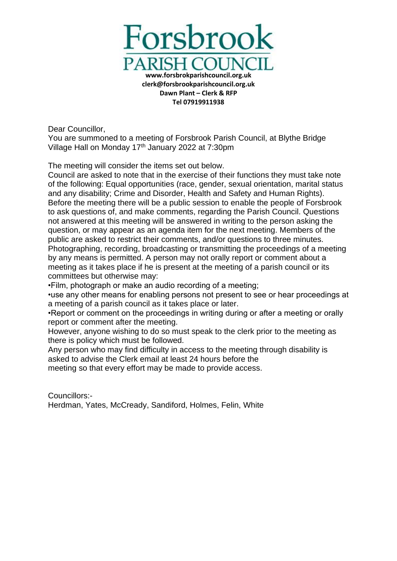

Dear Councillor,

You are summoned to a meeting of Forsbrook Parish Council, at Blythe Bridge Village Hall on Monday 17<sup>th</sup> January 2022 at 7:30pm

The meeting will consider the items set out below.

Council are asked to note that in the exercise of their functions they must take note of the following: Equal opportunities (race, gender, sexual orientation, marital status and any disability; Crime and Disorder, Health and Safety and Human Rights). Before the meeting there will be a public session to enable the people of Forsbrook to ask questions of, and make comments, regarding the Parish Council. Questions not answered at this meeting will be answered in writing to the person asking the question, or may appear as an agenda item for the next meeting. Members of the public are asked to restrict their comments, and/or questions to three minutes. Photographing, recording, broadcasting or transmitting the proceedings of a meeting by any means is permitted. A person may not orally report or comment about a meeting as it takes place if he is present at the meeting of a parish council or its committees but otherwise may:

•Film, photograph or make an audio recording of a meeting;

•use any other means for enabling persons not present to see or hear proceedings at a meeting of a parish council as it takes place or later.

•Report or comment on the proceedings in writing during or after a meeting or orally report or comment after the meeting.

However, anyone wishing to do so must speak to the clerk prior to the meeting as there is policy which must be followed.

Any person who may find difficulty in access to the meeting through disability is asked to advise the Clerk email at least 24 hours before the

meeting so that every effort may be made to provide access.

Councillors:- Herdman, Yates, McCready, Sandiford, Holmes, Felin, White